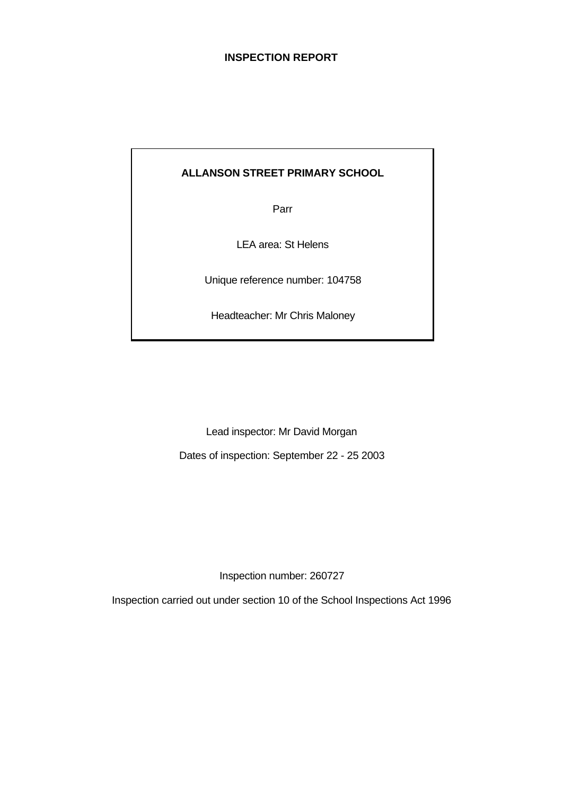## **INSPECTION REPORT**

# **ALLANSON STREET PRIMARY SCHOOL**

Parr

LEA area: St Helens

Unique reference number: 104758

Headteacher: Mr Chris Maloney

Lead inspector: Mr David Morgan

Dates of inspection: September 22 - 25 2003

Inspection number: 260727

Inspection carried out under section 10 of the School Inspections Act 1996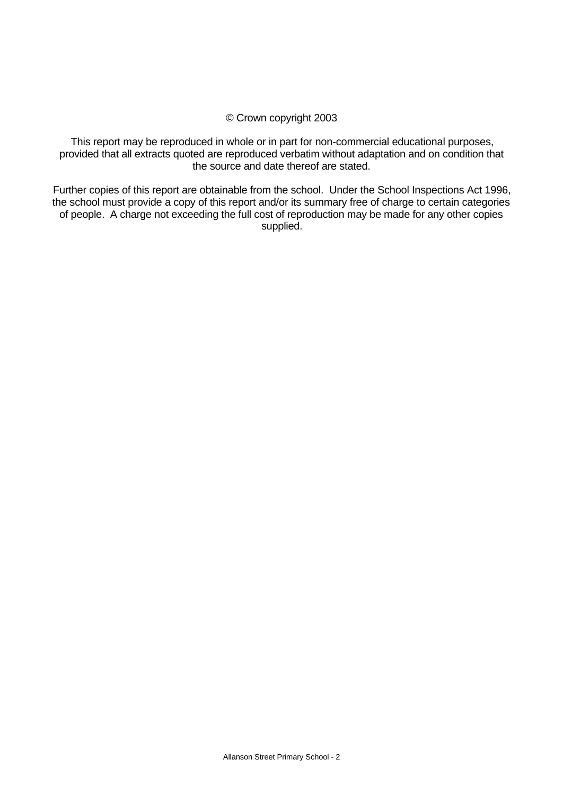## © Crown copyright 2003

This report may be reproduced in whole or in part for non-commercial educational purposes, provided that all extracts quoted are reproduced verbatim without adaptation and on condition that the source and date thereof are stated.

Further copies of this report are obtainable from the school. Under the School Inspections Act 1996, the school must provide a copy of this report and/or its summary free of charge to certain categories of people. A charge not exceeding the full cost of reproduction may be made for any other copies supplied.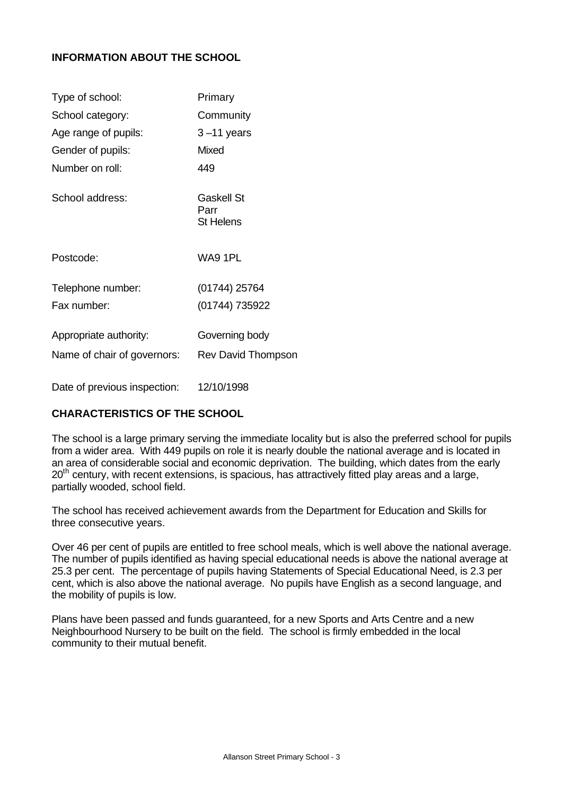## **INFORMATION ABOUT THE SCHOOL**

| Type of school:              | Primary                                       |
|------------------------------|-----------------------------------------------|
| School category:             | Community                                     |
| Age range of pupils:         | $3 - 11$ years                                |
| Gender of pupils:            | <b>Mixed</b>                                  |
| Number on roll:              | 449                                           |
| School address:              | <b>Gaskell St</b><br>Parr<br><b>St Helens</b> |
| Postcode:                    | WA9 1PL                                       |
| Telephone number:            | (01744) 25764                                 |
| Fax number:                  | (01744) 735922                                |
| Appropriate authority:       | Governing body                                |
| Name of chair of governors:  | <b>Rev David Thompson</b>                     |
| Date of previous inspection: | 12/10/1998                                    |

## **CHARACTERISTICS OF THE SCHOOL**

The school is a large primary serving the immediate locality but is also the preferred school for pupils from a wider area. With 449 pupils on role it is nearly double the national average and is located in an area of considerable social and economic deprivation. The building, which dates from the early  $20<sup>th</sup>$  century, with recent extensions, is spacious, has attractively fitted play areas and a large, partially wooded, school field.

The school has received achievement awards from the Department for Education and Skills for three consecutive years.

Over 46 per cent of pupils are entitled to free school meals, which is well above the national average. The number of pupils identified as having special educational needs is above the national average at 25.3 per cent. The percentage of pupils having Statements of Special Educational Need, is 2.3 per cent, which is also above the national average. No pupils have English as a second language, and the mobility of pupils is low.

Plans have been passed and funds guaranteed, for a new Sports and Arts Centre and a new Neighbourhood Nursery to be built on the field. The school is firmly embedded in the local community to their mutual benefit.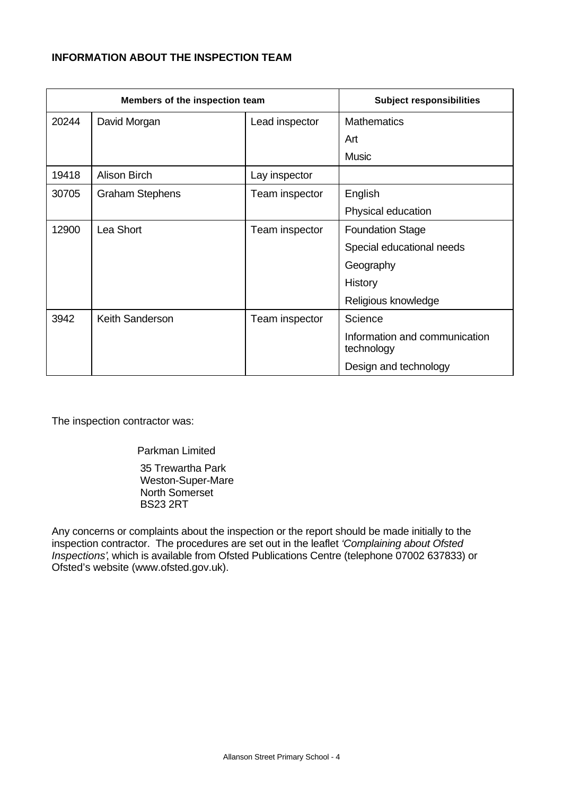# **INFORMATION ABOUT THE INSPECTION TEAM**

|       | Members of the inspection team |                | <b>Subject responsibilities</b>             |  |
|-------|--------------------------------|----------------|---------------------------------------------|--|
| 20244 | David Morgan                   | Lead inspector | <b>Mathematics</b>                          |  |
|       |                                |                | Art                                         |  |
|       |                                |                | <b>Music</b>                                |  |
| 19418 | <b>Alison Birch</b>            | Lay inspector  |                                             |  |
| 30705 | <b>Graham Stephens</b>         | Team inspector | English                                     |  |
|       |                                |                | Physical education                          |  |
| 12900 | Lea Short                      | Team inspector | <b>Foundation Stage</b>                     |  |
|       |                                |                | Special educational needs                   |  |
|       |                                |                | Geography                                   |  |
|       |                                |                | History                                     |  |
|       |                                |                | Religious knowledge                         |  |
| 3942  | Keith Sanderson                | Team inspector | Science                                     |  |
|       |                                |                | Information and communication<br>technology |  |
|       |                                |                | Design and technology                       |  |

The inspection contractor was:

Parkman Limited

 35 Trewartha Park Weston-Super-Mare North Somerset BS23 2RT

Any concerns or complaints about the inspection or the report should be made initially to the inspection contractor. The procedures are set out in the leaflet *'Complaining about Ofsted Inspections'*, which is available from Ofsted Publications Centre (telephone 07002 637833) or Ofsted's website (www.ofsted.gov.uk).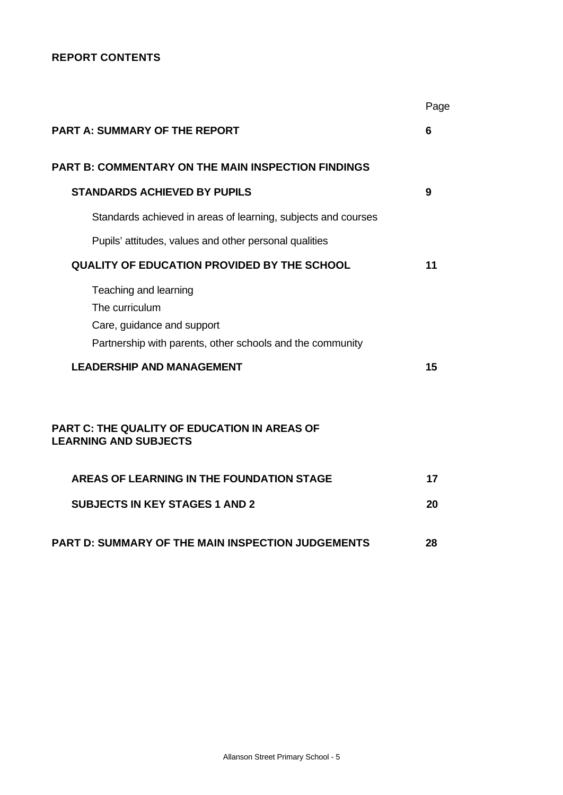# **REPORT CONTENTS**

|                                                                                                                                                                                                                                                               | Page |
|---------------------------------------------------------------------------------------------------------------------------------------------------------------------------------------------------------------------------------------------------------------|------|
| <b>PART A: SUMMARY OF THE REPORT</b>                                                                                                                                                                                                                          | 6    |
| <b>PART B: COMMENTARY ON THE MAIN INSPECTION FINDINGS</b>                                                                                                                                                                                                     |      |
| <b>STANDARDS ACHIEVED BY PUPILS</b>                                                                                                                                                                                                                           | 9    |
| Standards achieved in areas of learning, subjects and courses                                                                                                                                                                                                 |      |
| Pupils' attitudes, values and other personal qualities                                                                                                                                                                                                        |      |
| <b>QUALITY OF EDUCATION PROVIDED BY THE SCHOOL</b>                                                                                                                                                                                                            | 11   |
| Teaching and learning<br>The curriculum<br>Care, guidance and support<br>Partnership with parents, other schools and the community<br><b>LEADERSHIP AND MANAGEMENT</b><br><b>PART C: THE QUALITY OF EDUCATION IN AREAS OF</b><br><b>LEARNING AND SUBJECTS</b> | 15   |
|                                                                                                                                                                                                                                                               |      |
| AREAS OF LEARNING IN THE FOUNDATION STAGE                                                                                                                                                                                                                     | 17   |
| <b>SUBJECTS IN KEY STAGES 1 AND 2</b>                                                                                                                                                                                                                         | 20   |
| <b>PART D: SUMMARY OF THE MAIN INSPECTION JUDGEMENTS</b>                                                                                                                                                                                                      | 28   |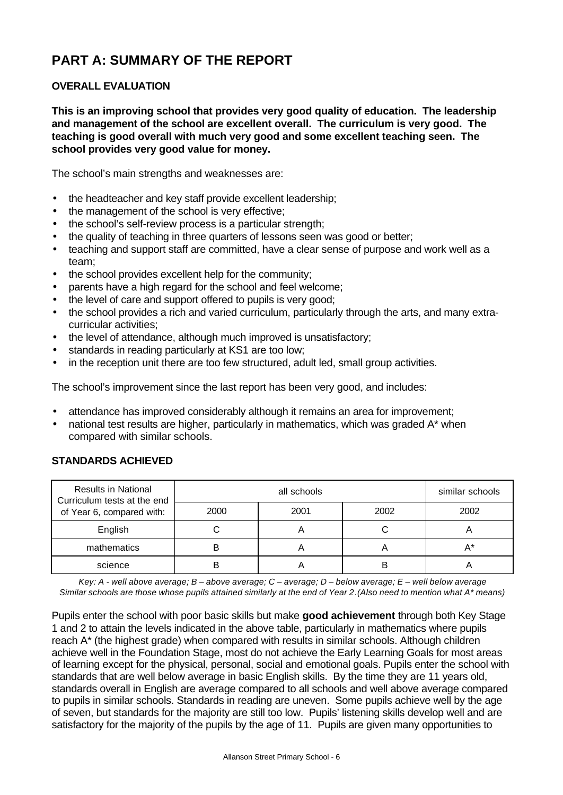# **PART A: SUMMARY OF THE REPORT**

# **OVERALL EVALUATION**

**This is an improving school that provides very good quality of education. The leadership and management of the school are excellent overall. The curriculum is very good. The teaching is good overall with much very good and some excellent teaching seen. The school provides very good value for money.**

The school's main strengths and weaknesses are:

- the headteacher and key staff provide excellent leadership;
- the management of the school is very effective;
- the school's self-review process is a particular strength;
- the quality of teaching in three quarters of lessons seen was good or better;
- teaching and support staff are committed, have a clear sense of purpose and work well as a team;
- the school provides excellent help for the community;
- parents have a high regard for the school and feel welcome;
- the level of care and support offered to pupils is very good;
- the school provides a rich and varied curriculum, particularly through the arts, and many extracurricular activities;
- the level of attendance, although much improved is unsatisfactory;
- standards in reading particularly at KS1 are too low;
- in the reception unit there are too few structured, adult led, small group activities.

The school's improvement since the last report has been very good, and includes:

- attendance has improved considerably although it remains an area for improvement;
- national test results are higher, particularly in mathematics, which was graded A\* when compared with similar schools.

| <b>Results in National</b><br>Curriculum tests at the end |      | similar schools |      |      |
|-----------------------------------------------------------|------|-----------------|------|------|
| of Year 6, compared with:                                 | 2000 | 2001            | 2002 | 2002 |
| English                                                   |      | 宀               |      |      |
| mathematics                                               | В    |                 |      | А*   |
| science                                                   | В    |                 | R    |      |

## **STANDARDS ACHIEVED**

*Key: A - well above average; B – above average; C – average; D – below average; E – well below average Similar schools are those whose pupils attained similarly at the end of Year 2.(Also need to mention what A\* means)*

Pupils enter the school with poor basic skills but make **good achievement** through both Key Stage 1 and 2 to attain the levels indicated in the above table, particularly in mathematics where pupils reach A\* (the highest grade) when compared with results in similar schools. Although children achieve well in the Foundation Stage, most do not achieve the Early Learning Goals for most areas of learning except for the physical, personal, social and emotional goals. Pupils enter the school with standards that are well below average in basic English skills. By the time they are 11 years old, standards overall in English are average compared to all schools and well above average compared to pupils in similar schools. Standards in reading are uneven. Some pupils achieve well by the age of seven, but standards for the majority are still too low. Pupils' listening skills develop well and are satisfactory for the majority of the pupils by the age of 11. Pupils are given many opportunities to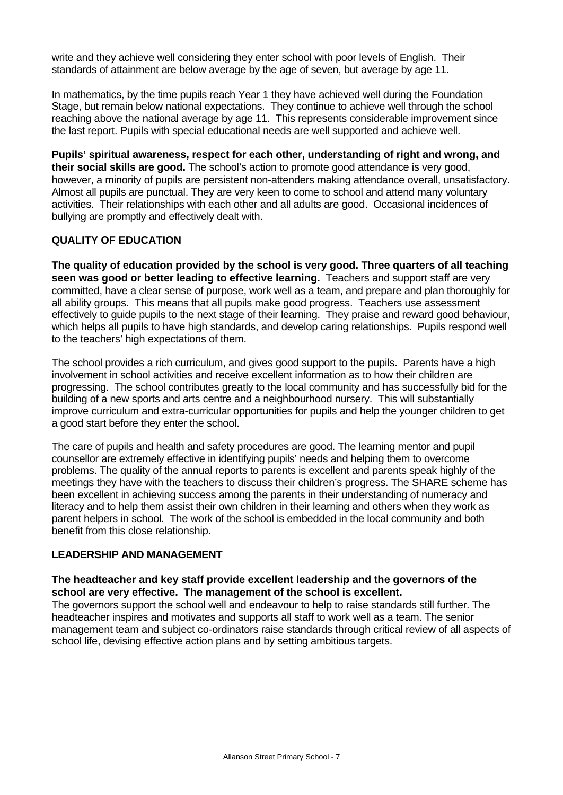write and they achieve well considering they enter school with poor levels of English. Their standards of attainment are below average by the age of seven, but average by age 11.

In mathematics, by the time pupils reach Year 1 they have achieved well during the Foundation Stage, but remain below national expectations. They continue to achieve well through the school reaching above the national average by age 11. This represents considerable improvement since the last report. Pupils with special educational needs are well supported and achieve well.

**Pupils' spiritual awareness, respect for each other, understanding of right and wrong, and their social skills are good.** The school's action to promote good attendance is very good, however, a minority of pupils are persistent non-attenders making attendance overall, unsatisfactory. Almost all pupils are punctual. They are very keen to come to school and attend many voluntary activities. Their relationships with each other and all adults are good. Occasional incidences of bullying are promptly and effectively dealt with.

## **QUALITY OF EDUCATION**

**The quality of education provided by the school is very good. Three quarters of all teaching seen was good or better leading to effective learning.** Teachers and support staff are very committed, have a clear sense of purpose, work well as a team, and prepare and plan thoroughly for all ability groups. This means that all pupils make good progress. Teachers use assessment effectively to guide pupils to the next stage of their learning. They praise and reward good behaviour, which helps all pupils to have high standards, and develop caring relationships. Pupils respond well to the teachers' high expectations of them.

The school provides a rich curriculum, and gives good support to the pupils. Parents have a high involvement in school activities and receive excellent information as to how their children are progressing. The school contributes greatly to the local community and has successfully bid for the building of a new sports and arts centre and a neighbourhood nursery. This will substantially improve curriculum and extra-curricular opportunities for pupils and help the younger children to get a good start before they enter the school.

The care of pupils and health and safety procedures are good. The learning mentor and pupil counsellor are extremely effective in identifying pupils' needs and helping them to overcome problems. The quality of the annual reports to parents is excellent and parents speak highly of the meetings they have with the teachers to discuss their children's progress. The SHARE scheme has been excellent in achieving success among the parents in their understanding of numeracy and literacy and to help them assist their own children in their learning and others when they work as parent helpers in school. The work of the school is embedded in the local community and both benefit from this close relationship.

## **LEADERSHIP AND MANAGEMENT**

## **The headteacher and key staff provide excellent leadership and the governors of the school are very effective. The management of the school is excellent.**

The governors support the school well and endeavour to help to raise standards still further. The headteacher inspires and motivates and supports all staff to work well as a team. The senior management team and subject co-ordinators raise standards through critical review of all aspects of school life, devising effective action plans and by setting ambitious targets.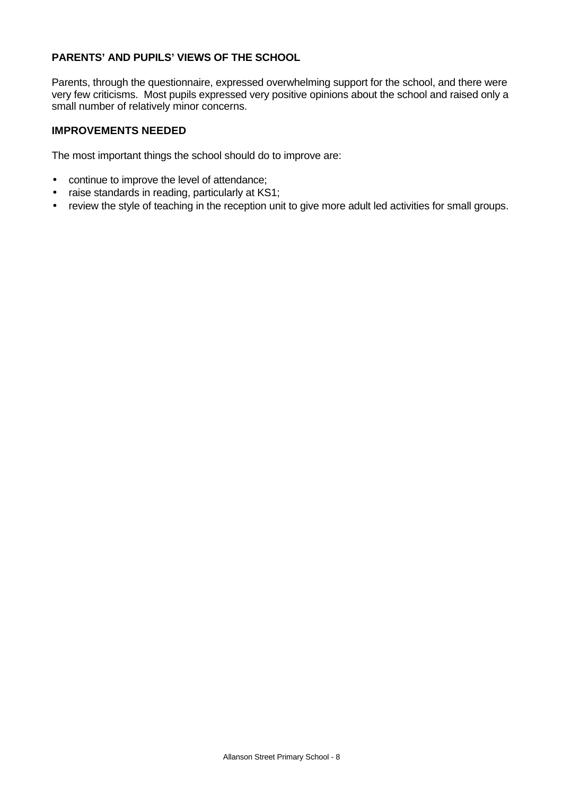# **PARENTS' AND PUPILS' VIEWS OF THE SCHOOL**

Parents, through the questionnaire, expressed overwhelming support for the school, and there were very few criticisms. Most pupils expressed very positive opinions about the school and raised only a small number of relatively minor concerns.

## **IMPROVEMENTS NEEDED**

The most important things the school should do to improve are:

- continue to improve the level of attendance;
- raise standards in reading, particularly at KS1;
- review the style of teaching in the reception unit to give more adult led activities for small groups.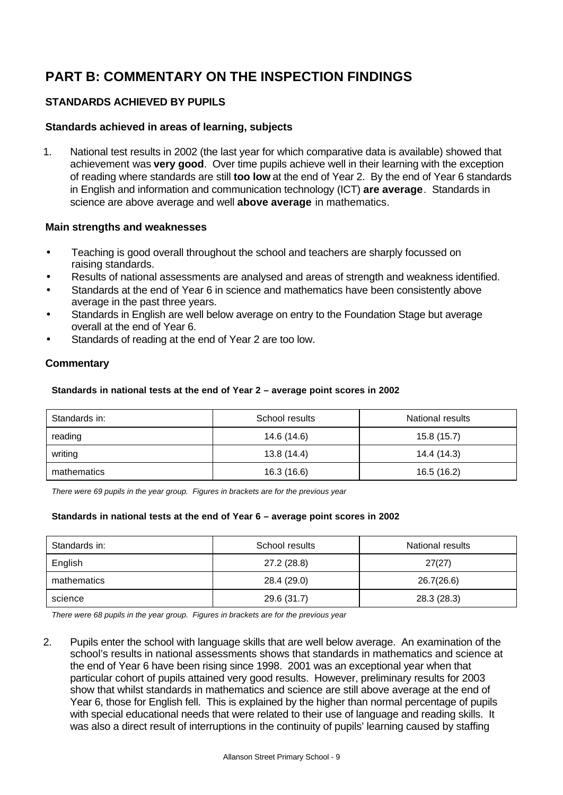# **PART B: COMMENTARY ON THE INSPECTION FINDINGS**

# **STANDARDS ACHIEVED BY PUPILS**

## **Standards achieved in areas of learning, subjects**

1. National test results in 2002 (the last year for which comparative data is available) showed that achievement was **very good**. Over time pupils achieve well in their learning with the exception of reading where standards are still **too low** at the end of Year 2. By the end of Year 6 standards in English and information and communication technology (ICT) **are average**. Standards in science are above average and well **above average** in mathematics.

## **Main strengths and weaknesses**

- Teaching is good overall throughout the school and teachers are sharply focussed on raising standards.
- Results of national assessments are analysed and areas of strength and weakness identified.
- Standards at the end of Year 6 in science and mathematics have been consistently above average in the past three years.
- Standards in English are well below average on entry to the Foundation Stage but average overall at the end of Year 6.
- Standards of reading at the end of Year 2 are too low.

## **Commentary**

#### **Standards in national tests at the end of Year 2 – average point scores in 2002**

| Standards in: | School results | National results |
|---------------|----------------|------------------|
| reading       | 14.6 (14.6)    | 15.8(15.7)       |
| writing       | 13.8 (14.4)    | 14.4 (14.3)      |
| mathematics   | 16.3 (16.6)    | 16.5 (16.2)      |

*There were 69 pupils in the year group. Figures in brackets are for the previous year*

#### **Standards in national tests at the end of Year 6 – average point scores in 2002**

| Standards in: | School results | National results |
|---------------|----------------|------------------|
| English       | 27.2 (28.8)    | 27(27)           |
| mathematics   | 28.4 (29.0)    | 26.7(26.6)       |
| science       | 29.6 (31.7)    | 28.3 (28.3)      |

*There were 68 pupils in the year group. Figures in brackets are for the previous year*

2. Pupils enter the school with language skills that are well below average. An examination of the school's results in national assessments shows that standards in mathematics and science at the end of Year 6 have been rising since 1998. 2001 was an exceptional year when that particular cohort of pupils attained very good results. However, preliminary results for 2003 show that whilst standards in mathematics and science are still above average at the end of Year 6, those for English fell. This is explained by the higher than normal percentage of pupils with special educational needs that were related to their use of language and reading skills. It was also a direct result of interruptions in the continuity of pupils' learning caused by staffing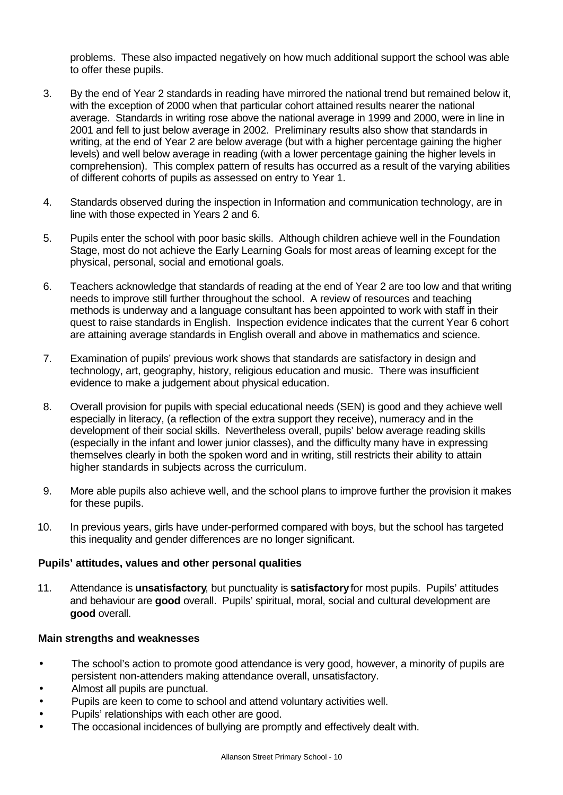problems. These also impacted negatively on how much additional support the school was able to offer these pupils.

- 3. By the end of Year 2 standards in reading have mirrored the national trend but remained below it, with the exception of 2000 when that particular cohort attained results nearer the national average. Standards in writing rose above the national average in 1999 and 2000, were in line in 2001 and fell to just below average in 2002. Preliminary results also show that standards in writing, at the end of Year 2 are below average (but with a higher percentage gaining the higher levels) and well below average in reading (with a lower percentage gaining the higher levels in comprehension). This complex pattern of results has occurred as a result of the varying abilities of different cohorts of pupils as assessed on entry to Year 1.
- 4. Standards observed during the inspection in Information and communication technology, are in line with those expected in Years 2 and 6.
- 5. Pupils enter the school with poor basic skills. Although children achieve well in the Foundation Stage, most do not achieve the Early Learning Goals for most areas of learning except for the physical, personal, social and emotional goals.
- 6. Teachers acknowledge that standards of reading at the end of Year 2 are too low and that writing needs to improve still further throughout the school. A review of resources and teaching methods is underway and a language consultant has been appointed to work with staff in their quest to raise standards in English. Inspection evidence indicates that the current Year 6 cohort are attaining average standards in English overall and above in mathematics and science.
- 7. Examination of pupils' previous work shows that standards are satisfactory in design and technology, art, geography, history, religious education and music. There was insufficient evidence to make a judgement about physical education.
- 8. Overall provision for pupils with special educational needs (SEN) is good and they achieve well especially in literacy, (a reflection of the extra support they receive), numeracy and in the development of their social skills. Nevertheless overall, pupils' below average reading skills (especially in the infant and lower junior classes), and the difficulty many have in expressing themselves clearly in both the spoken word and in writing, still restricts their ability to attain higher standards in subjects across the curriculum.
- 9. More able pupils also achieve well, and the school plans to improve further the provision it makes for these pupils.
- 10. In previous years, girls have under-performed compared with boys, but the school has targeted this inequality and gender differences are no longer significant.

## **Pupils' attitudes, values and other personal qualities**

11. Attendance is **unsatisfactory**, but punctuality is **satisfactory** for most pupils. Pupils' attitudes and behaviour are **good** overall. Pupils' spiritual, moral, social and cultural development are **good** overall.

- The school's action to promote good attendance is very good, however, a minority of pupils are persistent non-attenders making attendance overall, unsatisfactory.
- Almost all pupils are punctual.
- Pupils are keen to come to school and attend voluntary activities well.
- Pupils' relationships with each other are good.
- The occasional incidences of bullying are promptly and effectively dealt with.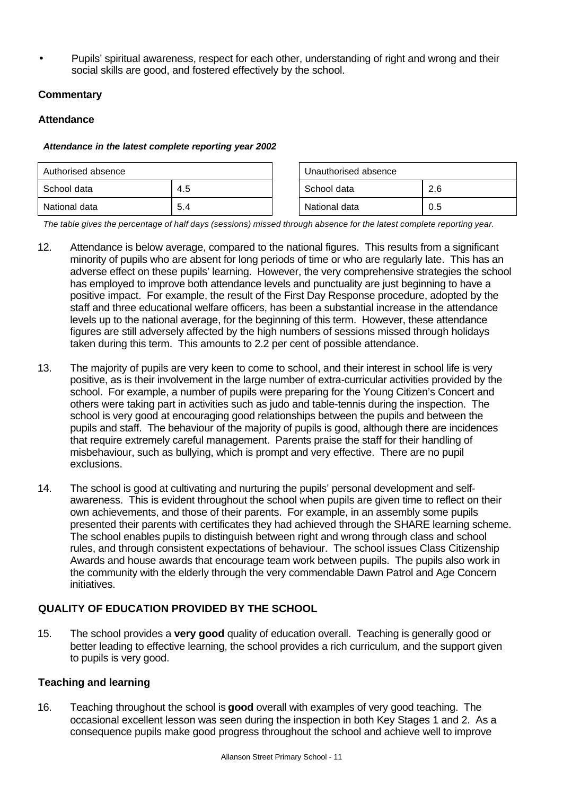• Pupils' spiritual awareness, respect for each other, understanding of right and wrong and their social skills are good, and fostered effectively by the school.

# **Commentary**

## **Attendance**

#### *Attendance in the latest complete reporting year 2002*

| Authorised absence |     |             | Unauthorised absence |     |
|--------------------|-----|-------------|----------------------|-----|
| School data<br>4.5 |     | School data | 2.6                  |     |
| National data      | 5.4 |             | National data        | 0.5 |

*The table gives the percentage of half days (sessions) missed through absence for the latest complete reporting year.*

- 12. Attendance is below average, compared to the national figures. This results from a significant minority of pupils who are absent for long periods of time or who are regularly late. This has an adverse effect on these pupils' learning. However, the very comprehensive strategies the school has employed to improve both attendance levels and punctuality are just beginning to have a positive impact. For example, the result of the First Day Response procedure, adopted by the staff and three educational welfare officers, has been a substantial increase in the attendance levels up to the national average, for the beginning of this term. However, these attendance figures are still adversely affected by the high numbers of sessions missed through holidays taken during this term. This amounts to 2.2 per cent of possible attendance.
- 13. The majority of pupils are very keen to come to school, and their interest in school life is very positive, as is their involvement in the large number of extra-curricular activities provided by the school. For example, a number of pupils were preparing for the Young Citizen's Concert and others were taking part in activities such as judo and table-tennis during the inspection. The school is very good at encouraging good relationships between the pupils and between the pupils and staff. The behaviour of the majority of pupils is good, although there are incidences that require extremely careful management. Parents praise the staff for their handling of misbehaviour, such as bullying, which is prompt and very effective. There are no pupil exclusions.
- 14. The school is good at cultivating and nurturing the pupils' personal development and selfawareness. This is evident throughout the school when pupils are given time to reflect on their own achievements, and those of their parents. For example, in an assembly some pupils presented their parents with certificates they had achieved through the SHARE learning scheme. The school enables pupils to distinguish between right and wrong through class and school rules, and through consistent expectations of behaviour. The school issues Class Citizenship Awards and house awards that encourage team work between pupils. The pupils also work in the community with the elderly through the very commendable Dawn Patrol and Age Concern initiatives.

# **QUALITY OF EDUCATION PROVIDED BY THE SCHOOL**

15. The school provides a **very good** quality of education overall. Teaching is generally good or better leading to effective learning, the school provides a rich curriculum, and the support given to pupils is very good.

# **Teaching and learning**

16. Teaching throughout the school is **good** overall with examples of very good teaching. The occasional excellent lesson was seen during the inspection in both Key Stages 1 and 2. As a consequence pupils make good progress throughout the school and achieve well to improve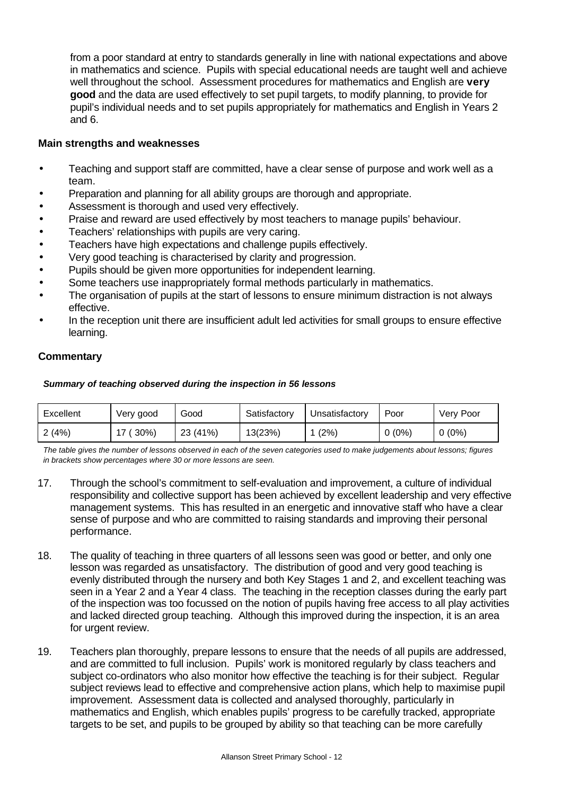from a poor standard at entry to standards generally in line with national expectations and above in mathematics and science. Pupils with special educational needs are taught well and achieve well throughout the school. Assessment procedures for mathematics and English are **very good** and the data are used effectively to set pupil targets, to modify planning, to provide for pupil's individual needs and to set pupils appropriately for mathematics and English in Years 2 and 6.

## **Main strengths and weaknesses**

- Teaching and support staff are committed, have a clear sense of purpose and work well as a team.
- Preparation and planning for all ability groups are thorough and appropriate.
- Assessment is thorough and used very effectively.
- Praise and reward are used effectively by most teachers to manage pupils' behaviour.
- Teachers' relationships with pupils are very caring.
- Teachers have high expectations and challenge pupils effectively.
- Very good teaching is characterised by clarity and progression.
- Pupils should be given more opportunities for independent learning.
- Some teachers use inappropriately formal methods particularly in mathematics.
- The organisation of pupils at the start of lessons to ensure minimum distraction is not always effective.
- In the reception unit there are insufficient adult led activities for small groups to ensure effective learning.

## **Commentary**

#### *Summary of teaching observed during the inspection in 56 lessons*

| Excellent | Very good | Good     | Satisfactory | Unsatisfactorv | Poor     | Very Poor |
|-----------|-----------|----------|--------------|----------------|----------|-----------|
| 2(4%)     | 30%       | 23 (41%) | 13(23%)      | (2%)           | $0(0\%)$ | $0(0\%)$  |

*The table gives the number of lessons observed in each of the seven categories used to make judgements about lessons; figures in brackets show percentages where 30 or more lessons are seen.*

- 17. Through the school's commitment to self-evaluation and improvement, a culture of individual responsibility and collective support has been achieved by excellent leadership and very effective management systems. This has resulted in an energetic and innovative staff who have a clear sense of purpose and who are committed to raising standards and improving their personal performance.
- 18. The quality of teaching in three quarters of all lessons seen was good or better, and only one lesson was regarded as unsatisfactory. The distribution of good and very good teaching is evenly distributed through the nursery and both Key Stages 1 and 2, and excellent teaching was seen in a Year 2 and a Year 4 class. The teaching in the reception classes during the early part of the inspection was too focussed on the notion of pupils having free access to all play activities and lacked directed group teaching. Although this improved during the inspection, it is an area for urgent review.
- 19. Teachers plan thoroughly, prepare lessons to ensure that the needs of all pupils are addressed, and are committed to full inclusion. Pupils' work is monitored regularly by class teachers and subject co-ordinators who also monitor how effective the teaching is for their subject. Regular subject reviews lead to effective and comprehensive action plans, which help to maximise pupil improvement. Assessment data is collected and analysed thoroughly, particularly in mathematics and English, which enables pupils' progress to be carefully tracked, appropriate targets to be set, and pupils to be grouped by ability so that teaching can be more carefully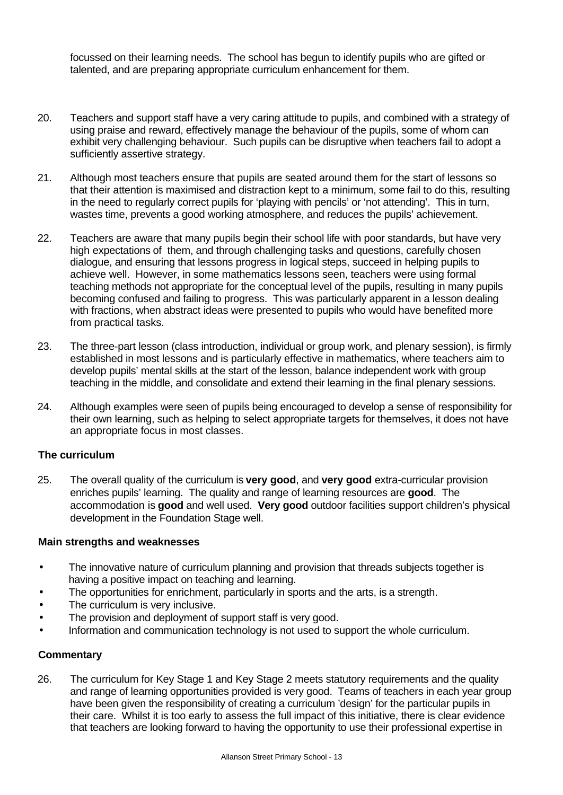focussed on their learning needs. The school has begun to identify pupils who are gifted or talented, and are preparing appropriate curriculum enhancement for them.

- 20. Teachers and support staff have a very caring attitude to pupils, and combined with a strategy of using praise and reward, effectively manage the behaviour of the pupils, some of whom can exhibit very challenging behaviour. Such pupils can be disruptive when teachers fail to adopt a sufficiently assertive strategy.
- 21. Although most teachers ensure that pupils are seated around them for the start of lessons so that their attention is maximised and distraction kept to a minimum, some fail to do this, resulting in the need to regularly correct pupils for 'playing with pencils' or 'not attending'. This in turn, wastes time, prevents a good working atmosphere, and reduces the pupils' achievement.
- 22. Teachers are aware that many pupils begin their school life with poor standards, but have very high expectations of them, and through challenging tasks and questions, carefully chosen dialogue, and ensuring that lessons progress in logical steps, succeed in helping pupils to achieve well. However, in some mathematics lessons seen, teachers were using formal teaching methods not appropriate for the conceptual level of the pupils, resulting in many pupils becoming confused and failing to progress. This was particularly apparent in a lesson dealing with fractions, when abstract ideas were presented to pupils who would have benefited more from practical tasks.
- 23. The three-part lesson (class introduction, individual or group work, and plenary session), is firmly established in most lessons and is particularly effective in mathematics, where teachers aim to develop pupils' mental skills at the start of the lesson, balance independent work with group teaching in the middle, and consolidate and extend their learning in the final plenary sessions.
- 24. Although examples were seen of pupils being encouraged to develop a sense of responsibility for their own learning, such as helping to select appropriate targets for themselves, it does not have an appropriate focus in most classes.

## **The curriculum**

25. The overall quality of the curriculum is **very good**, and **very good** extra-curricular provision enriches pupils' learning. The quality and range of learning resources are **good**. The accommodation is **good** and well used. **Very good** outdoor facilities support children's physical development in the Foundation Stage well.

## **Main strengths and weaknesses**

- The innovative nature of curriculum planning and provision that threads subjects together is having a positive impact on teaching and learning.
- The opportunities for enrichment, particularly in sports and the arts, is a strength.
- The curriculum is very inclusive.
- The provision and deployment of support staff is very good.
- Information and communication technology is not used to support the whole curriculum.

## **Commentary**

26. The curriculum for Key Stage 1 and Key Stage 2 meets statutory requirements and the quality and range of learning opportunities provided is very good. Teams of teachers in each year group have been given the responsibility of creating a curriculum 'design' for the particular pupils in their care. Whilst it is too early to assess the full impact of this initiative, there is clear evidence that teachers are looking forward to having the opportunity to use their professional expertise in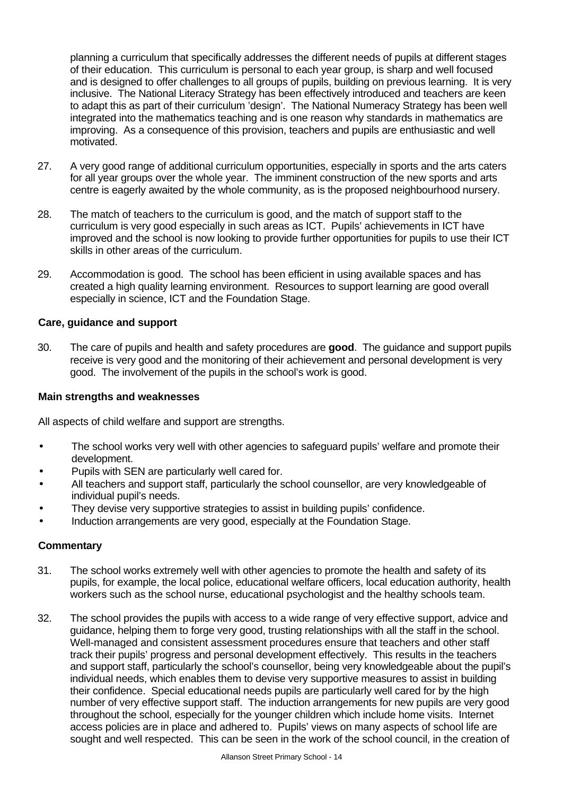planning a curriculum that specifically addresses the different needs of pupils at different stages of their education. This curriculum is personal to each year group, is sharp and well focused and is designed to offer challenges to all groups of pupils, building on previous learning. It is very inclusive. The National Literacy Strategy has been effectively introduced and teachers are keen to adapt this as part of their curriculum 'design'. The National Numeracy Strategy has been well integrated into the mathematics teaching and is one reason why standards in mathematics are improving. As a consequence of this provision, teachers and pupils are enthusiastic and well motivated.

- 27. A very good range of additional curriculum opportunities, especially in sports and the arts caters for all year groups over the whole year. The imminent construction of the new sports and arts centre is eagerly awaited by the whole community, as is the proposed neighbourhood nursery.
- 28. The match of teachers to the curriculum is good, and the match of support staff to the curriculum is very good especially in such areas as ICT. Pupils' achievements in ICT have improved and the school is now looking to provide further opportunities for pupils to use their ICT skills in other areas of the curriculum.
- 29. Accommodation is good. The school has been efficient in using available spaces and has created a high quality learning environment. Resources to support learning are good overall especially in science, ICT and the Foundation Stage.

## **Care, guidance and support**

30. The care of pupils and health and safety procedures are **good**. The guidance and support pupils receive is very good and the monitoring of their achievement and personal development is very good. The involvement of the pupils in the school's work is good.

#### **Main strengths and weaknesses**

All aspects of child welfare and support are strengths.

- The school works very well with other agencies to safeguard pupils' welfare and promote their development.
- Pupils with SEN are particularly well cared for.
- All teachers and support staff, particularly the school counsellor, are very knowledgeable of individual pupil's needs.
- They devise very supportive strategies to assist in building pupils' confidence.
- Induction arrangements are very good, especially at the Foundation Stage.

## **Commentary**

- 31. The school works extremely well with other agencies to promote the health and safety of its pupils, for example, the local police, educational welfare officers, local education authority, health workers such as the school nurse, educational psychologist and the healthy schools team.
- 32. The school provides the pupils with access to a wide range of very effective support, advice and guidance, helping them to forge very good, trusting relationships with all the staff in the school. Well-managed and consistent assessment procedures ensure that teachers and other staff track their pupils' progress and personal development effectively. This results in the teachers and support staff, particularly the school's counsellor, being very knowledgeable about the pupil's individual needs, which enables them to devise very supportive measures to assist in building their confidence. Special educational needs pupils are particularly well cared for by the high number of very effective support staff. The induction arrangements for new pupils are very good throughout the school, especially for the younger children which include home visits. Internet access policies are in place and adhered to. Pupils' views on many aspects of school life are sought and well respected. This can be seen in the work of the school council, in the creation of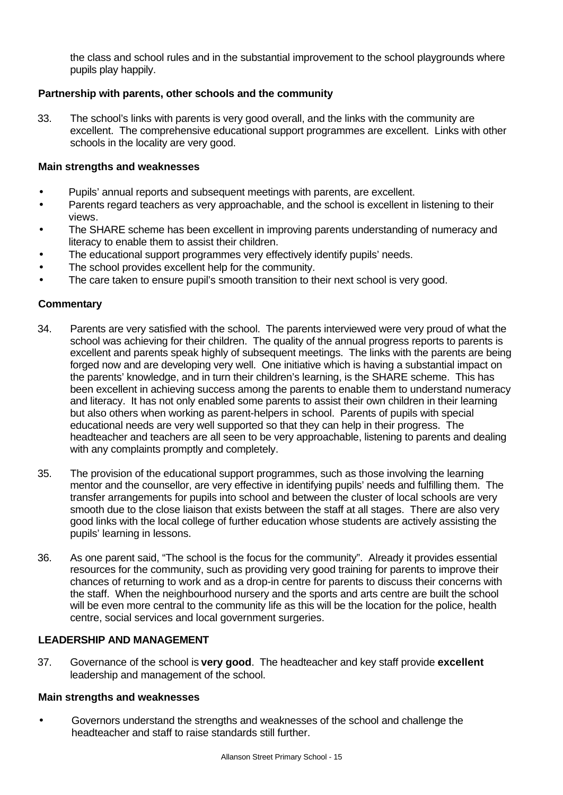the class and school rules and in the substantial improvement to the school playgrounds where pupils play happily.

## **Partnership with parents, other schools and the community**

33. The school's links with parents is very good overall, and the links with the community are excellent. The comprehensive educational support programmes are excellent. Links with other schools in the locality are very good.

#### **Main strengths and weaknesses**

- Pupils' annual reports and subsequent meetings with parents, are excellent.
- Parents regard teachers as very approachable, and the school is excellent in listening to their views.
- The SHARE scheme has been excellent in improving parents understanding of numeracy and literacy to enable them to assist their children.
- The educational support programmes very effectively identify pupils' needs.
- The school provides excellent help for the community.
- The care taken to ensure pupil's smooth transition to their next school is very good.

#### **Commentary**

- 34. Parents are very satisfied with the school. The parents interviewed were very proud of what the school was achieving for their children. The quality of the annual progress reports to parents is excellent and parents speak highly of subsequent meetings. The links with the parents are being forged now and are developing very well. One initiative which is having a substantial impact on the parents' knowledge, and in turn their children's learning, is the SHARE scheme. This has been excellent in achieving success among the parents to enable them to understand numeracy and literacy. It has not only enabled some parents to assist their own children in their learning but also others when working as parent-helpers in school. Parents of pupils with special educational needs are very well supported so that they can help in their progress. The headteacher and teachers are all seen to be very approachable, listening to parents and dealing with any complaints promptly and completely.
- 35. The provision of the educational support programmes, such as those involving the learning mentor and the counsellor, are very effective in identifying pupils' needs and fulfilling them. The transfer arrangements for pupils into school and between the cluster of local schools are very smooth due to the close liaison that exists between the staff at all stages. There are also very good links with the local college of further education whose students are actively assisting the pupils' learning in lessons.
- 36. As one parent said, "The school is the focus for the community". Already it provides essential resources for the community, such as providing very good training for parents to improve their chances of returning to work and as a drop-in centre for parents to discuss their concerns with the staff. When the neighbourhood nursery and the sports and arts centre are built the school will be even more central to the community life as this will be the location for the police, health centre, social services and local government surgeries.

## **LEADERSHIP AND MANAGEMENT**

37. Governance of the school is **very good**. The headteacher and key staff provide **excellent** leadership and management of the school.

#### **Main strengths and weaknesses**

• Governors understand the strengths and weaknesses of the school and challenge the headteacher and staff to raise standards still further.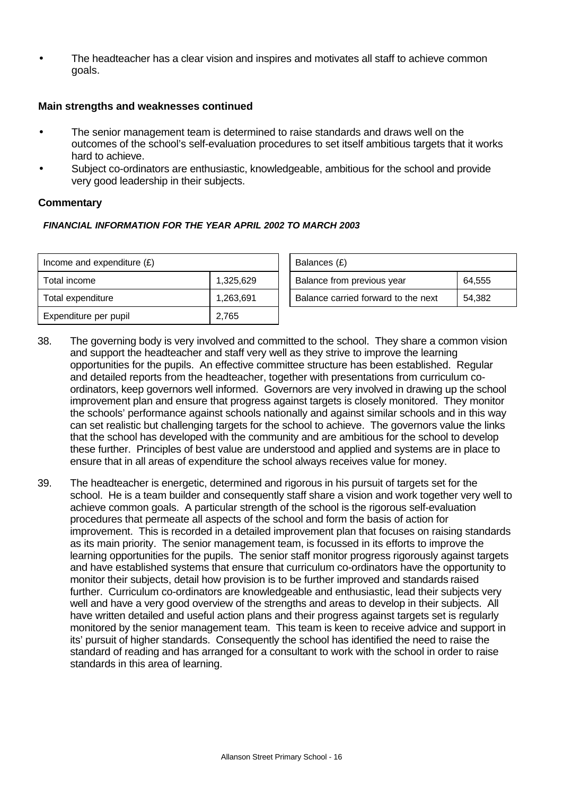• The headteacher has a clear vision and inspires and motivates all staff to achieve common goals.

#### **Main strengths and weaknesses continued**

- The senior management team is determined to raise standards and draws well on the outcomes of the school's self-evaluation procedures to set itself ambitious targets that it works hard to achieve.
- Subject co-ordinators are enthusiastic, knowledgeable, ambitious for the school and provide very good leadership in their subjects.

#### **Commentary**

#### *FINANCIAL INFORMATION FOR THE YEAR APRIL 2002 TO MARCH 2003*

| Income and expenditure $(E)$ |           | Balances (£)                                  |  |
|------------------------------|-----------|-----------------------------------------------|--|
| Total income                 | 1.325.629 | Balance from previous year<br>64.555          |  |
| Total expenditure            | 1.263.691 | Balance carried forward to the next<br>54.382 |  |
| Expenditure per pupil        | 2,765     |                                               |  |

- 38. The governing body is very involved and committed to the school. They share a common vision and support the headteacher and staff very well as they strive to improve the learning opportunities for the pupils. An effective committee structure has been established. Regular and detailed reports from the headteacher, together with presentations from curriculum coordinators, keep governors well informed. Governors are very involved in drawing up the school improvement plan and ensure that progress against targets is closely monitored. They monitor the schools' performance against schools nationally and against similar schools and in this way can set realistic but challenging targets for the school to achieve. The governors value the links that the school has developed with the community and are ambitious for the school to develop these further. Principles of best value are understood and applied and systems are in place to ensure that in all areas of expenditure the school always receives value for money.
- 39. The headteacher is energetic, determined and rigorous in his pursuit of targets set for the school. He is a team builder and consequently staff share a vision and work together very well to achieve common goals. A particular strength of the school is the rigorous self-evaluation procedures that permeate all aspects of the school and form the basis of action for improvement. This is recorded in a detailed improvement plan that focuses on raising standards as its main priority. The senior management team, is focussed in its efforts to improve the learning opportunities for the pupils. The senior staff monitor progress rigorously against targets and have established systems that ensure that curriculum co-ordinators have the opportunity to monitor their subjects, detail how provision is to be further improved and standards raised further. Curriculum co-ordinators are knowledgeable and enthusiastic, lead their subjects very well and have a very good overview of the strengths and areas to develop in their subjects. All have written detailed and useful action plans and their progress against targets set is regularly monitored by the senior management team. This team is keen to receive advice and support in its' pursuit of higher standards. Consequently the school has identified the need to raise the standard of reading and has arranged for a consultant to work with the school in order to raise standards in this area of learning.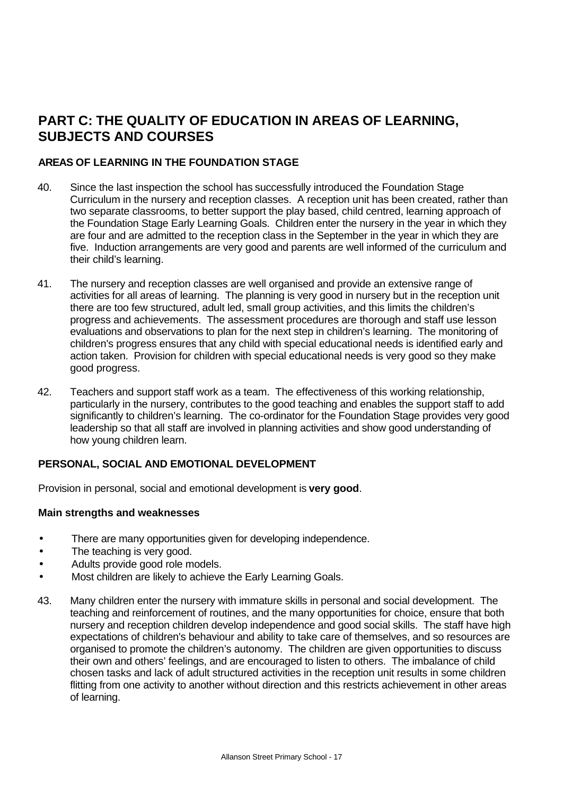# **PART C: THE QUALITY OF EDUCATION IN AREAS OF LEARNING, SUBJECTS AND COURSES**

# **AREAS OF LEARNING IN THE FOUNDATION STAGE**

- 40. Since the last inspection the school has successfully introduced the Foundation Stage Curriculum in the nursery and reception classes. A reception unit has been created, rather than two separate classrooms, to better support the play based, child centred, learning approach of the Foundation Stage Early Learning Goals. Children enter the nursery in the year in which they are four and are admitted to the reception class in the September in the year in which they are five. Induction arrangements are very good and parents are well informed of the curriculum and their child's learning.
- 41. The nursery and reception classes are well organised and provide an extensive range of activities for all areas of learning. The planning is very good in nursery but in the reception unit there are too few structured, adult led, small group activities, and this limits the children's progress and achievements. The assessment procedures are thorough and staff use lesson evaluations and observations to plan for the next step in children's learning. The monitoring of children's progress ensures that any child with special educational needs is identified early and action taken. Provision for children with special educational needs is very good so they make good progress.
- 42. Teachers and support staff work as a team. The effectiveness of this working relationship, particularly in the nursery, contributes to the good teaching and enables the support staff to add significantly to children's learning. The co-ordinator for the Foundation Stage provides very good leadership so that all staff are involved in planning activities and show good understanding of how young children learn.

## **PERSONAL, SOCIAL AND EMOTIONAL DEVELOPMENT**

Provision in personal, social and emotional development is **very good**.

- There are many opportunities given for developing independence.
- The teaching is very good.
- Adults provide good role models.
- Most children are likely to achieve the Early Learning Goals.
- 43. Many children enter the nursery with immature skills in personal and social development. The teaching and reinforcement of routines, and the many opportunities for choice, ensure that both nursery and reception children develop independence and good social skills. The staff have high expectations of children's behaviour and ability to take care of themselves, and so resources are organised to promote the children's autonomy. The children are given opportunities to discuss their own and others' feelings, and are encouraged to listen to others. The imbalance of child chosen tasks and lack of adult structured activities in the reception unit results in some children flitting from one activity to another without direction and this restricts achievement in other areas of learning.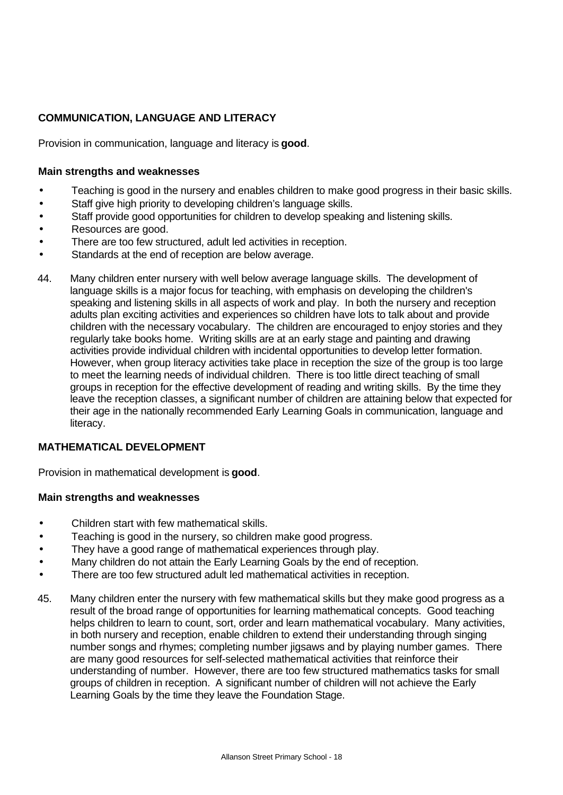# **COMMUNICATION, LANGUAGE AND LITERACY**

Provision in communication, language and literacy is **good**.

## **Main strengths and weaknesses**

- Teaching is good in the nursery and enables children to make good progress in their basic skills.
- Staff give high priority to developing children's language skills.
- Staff provide good opportunities for children to develop speaking and listening skills.
- Resources are good.
- There are too few structured, adult led activities in reception.
- Standards at the end of reception are below average.
- 44. Many children enter nursery with well below average language skills. The development of language skills is a major focus for teaching, with emphasis on developing the children's speaking and listening skills in all aspects of work and play. In both the nursery and reception adults plan exciting activities and experiences so children have lots to talk about and provide children with the necessary vocabulary. The children are encouraged to enjoy stories and they regularly take books home. Writing skills are at an early stage and painting and drawing activities provide individual children with incidental opportunities to develop letter formation. However, when group literacy activities take place in reception the size of the group is too large to meet the learning needs of individual children. There is too little direct teaching of small groups in reception for the effective development of reading and writing skills. By the time they leave the reception classes, a significant number of children are attaining below that expected for their age in the nationally recommended Early Learning Goals in communication, language and literacy.

# **MATHEMATICAL DEVELOPMENT**

Provision in mathematical development is **good**.

- Children start with few mathematical skills.
- Teaching is good in the nursery, so children make good progress.
- They have a good range of mathematical experiences through play.
- Many children do not attain the Early Learning Goals by the end of reception.
- There are too few structured adult led mathematical activities in reception.
- 45. Many children enter the nursery with few mathematical skills but they make good progress as a result of the broad range of opportunities for learning mathematical concepts. Good teaching helps children to learn to count, sort, order and learn mathematical vocabulary. Many activities, in both nursery and reception, enable children to extend their understanding through singing number songs and rhymes; completing number jigsaws and by playing number games. There are many good resources for self-selected mathematical activities that reinforce their understanding of number. However, there are too few structured mathematics tasks for small groups of children in reception. A significant number of children will not achieve the Early Learning Goals by the time they leave the Foundation Stage.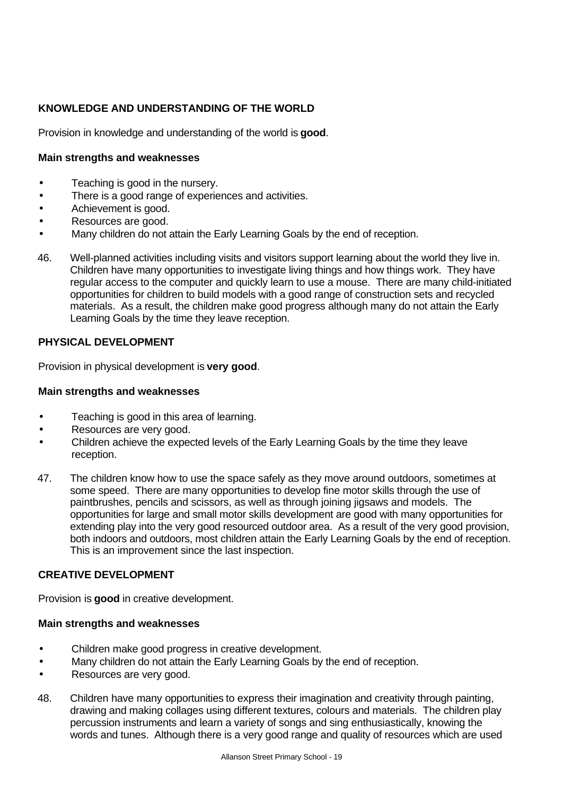# **KNOWLEDGE AND UNDERSTANDING OF THE WORLD**

Provision in knowledge and understanding of the world is **good**.

## **Main strengths and weaknesses**

- Teaching is good in the nursery.
- There is a good range of experiences and activities.
- Achievement is good.
- Resources are good.
- Many children do not attain the Early Learning Goals by the end of reception.
- 46. Well-planned activities including visits and visitors support learning about the world they live in. Children have many opportunities to investigate living things and how things work. They have regular access to the computer and quickly learn to use a mouse. There are many child-initiated opportunities for children to build models with a good range of construction sets and recycled materials. As a result, the children make good progress although many do not attain the Early Learning Goals by the time they leave reception.

## **PHYSICAL DEVELOPMENT**

Provision in physical development is **very good**.

#### **Main strengths and weaknesses**

- Teaching is good in this area of learning.
- Resources are very good.
- Children achieve the expected levels of the Early Learning Goals by the time they leave reception.
- 47. The children know how to use the space safely as they move around outdoors, sometimes at some speed. There are many opportunities to develop fine motor skills through the use of paintbrushes, pencils and scissors, as well as through joining jigsaws and models. The opportunities for large and small motor skills development are good with many opportunities for extending play into the very good resourced outdoor area. As a result of the very good provision, both indoors and outdoors, most children attain the Early Learning Goals by the end of reception. This is an improvement since the last inspection.

## **CREATIVE DEVELOPMENT**

Provision is **good** in creative development.

- Children make good progress in creative development.
- Many children do not attain the Early Learning Goals by the end of reception.
- Resources are very good.
- 48. Children have many opportunities to express their imagination and creativity through painting, drawing and making collages using different textures, colours and materials. The children play percussion instruments and learn a variety of songs and sing enthusiastically, knowing the words and tunes. Although there is a very good range and quality of resources which are used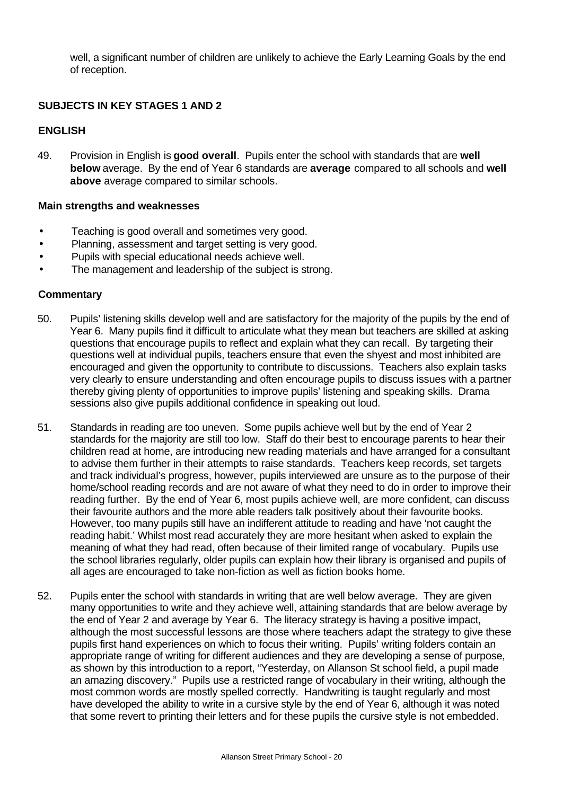well, a significant number of children are unlikely to achieve the Early Learning Goals by the end of reception.

## **SUBJECTS IN KEY STAGES 1 AND 2**

#### **ENGLISH**

49. Provision in English is **good overall**. Pupils enter the school with standards that are **well below** average. By the end of Year 6 standards are **average** compared to all schools and **well above** average compared to similar schools.

#### **Main strengths and weaknesses**

- Teaching is good overall and sometimes very good.
- Planning, assessment and target setting is very good.
- Pupils with special educational needs achieve well.
- The management and leadership of the subject is strong.

## **Commentary**

- 50. Pupils' listening skills develop well and are satisfactory for the majority of the pupils by the end of Year 6. Many pupils find it difficult to articulate what they mean but teachers are skilled at asking questions that encourage pupils to reflect and explain what they can recall. By targeting their questions well at individual pupils, teachers ensure that even the shyest and most inhibited are encouraged and given the opportunity to contribute to discussions. Teachers also explain tasks very clearly to ensure understanding and often encourage pupils to discuss issues with a partner thereby giving plenty of opportunities to improve pupils' listening and speaking skills. Drama sessions also give pupils additional confidence in speaking out loud.
- 51. Standards in reading are too uneven. Some pupils achieve well but by the end of Year 2 standards for the majority are still too low. Staff do their best to encourage parents to hear their children read at home, are introducing new reading materials and have arranged for a consultant to advise them further in their attempts to raise standards. Teachers keep records, set targets and track individual's progress, however, pupils interviewed are unsure as to the purpose of their home/school reading records and are not aware of what they need to do in order to improve their reading further. By the end of Year 6, most pupils achieve well, are more confident, can discuss their favourite authors and the more able readers talk positively about their favourite books. However, too many pupils still have an indifferent attitude to reading and have 'not caught the reading habit.' Whilst most read accurately they are more hesitant when asked to explain the meaning of what they had read, often because of their limited range of vocabulary. Pupils use the school libraries regularly, older pupils can explain how their library is organised and pupils of all ages are encouraged to take non-fiction as well as fiction books home.
- 52. Pupils enter the school with standards in writing that are well below average. They are given many opportunities to write and they achieve well, attaining standards that are below average by the end of Year 2 and average by Year 6. The literacy strategy is having a positive impact, although the most successful lessons are those where teachers adapt the strategy to give these pupils first hand experiences on which to focus their writing. Pupils' writing folders contain an appropriate range of writing for different audiences and they are developing a sense of purpose, as shown by this introduction to a report, "Yesterday, on Allanson St school field, a pupil made an amazing discovery." Pupils use a restricted range of vocabulary in their writing, although the most common words are mostly spelled correctly. Handwriting is taught regularly and most have developed the ability to write in a cursive style by the end of Year 6, although it was noted that some revert to printing their letters and for these pupils the cursive style is not embedded.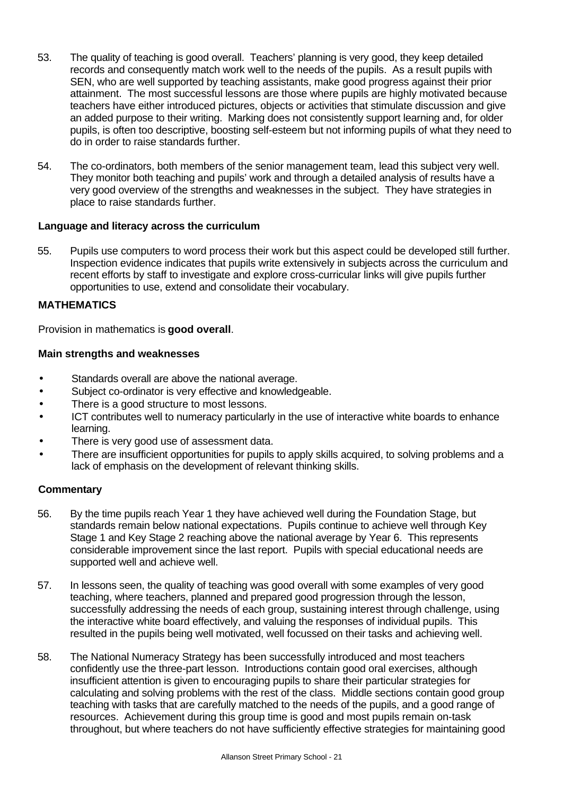- 53. The quality of teaching is good overall. Teachers' planning is very good, they keep detailed records and consequently match work well to the needs of the pupils. As a result pupils with SEN, who are well supported by teaching assistants, make good progress against their prior attainment. The most successful lessons are those where pupils are highly motivated because teachers have either introduced pictures, objects or activities that stimulate discussion and give an added purpose to their writing. Marking does not consistently support learning and, for older pupils, is often too descriptive, boosting self-esteem but not informing pupils of what they need to do in order to raise standards further.
- 54. The co-ordinators, both members of the senior management team, lead this subject very well. They monitor both teaching and pupils' work and through a detailed analysis of results have a very good overview of the strengths and weaknesses in the subject. They have strategies in place to raise standards further.

## **Language and literacy across the curriculum**

55. Pupils use computers to word process their work but this aspect could be developed still further. Inspection evidence indicates that pupils write extensively in subjects across the curriculum and recent efforts by staff to investigate and explore cross-curricular links will give pupils further opportunities to use, extend and consolidate their vocabulary.

## **MATHEMATICS**

Provision in mathematics is **good overall**.

## **Main strengths and weaknesses**

- Standards overall are above the national average.
- Subject co-ordinator is very effective and knowledgeable.
- There is a good structure to most lessons.
- ICT contributes well to numeracy particularly in the use of interactive white boards to enhance learning.
- There is very good use of assessment data.
- There are insufficient opportunities for pupils to apply skills acquired, to solving problems and a lack of emphasis on the development of relevant thinking skills.

# **Commentary**

- 56. By the time pupils reach Year 1 they have achieved well during the Foundation Stage, but standards remain below national expectations. Pupils continue to achieve well through Key Stage 1 and Key Stage 2 reaching above the national average by Year 6. This represents considerable improvement since the last report. Pupils with special educational needs are supported well and achieve well.
- 57. In lessons seen, the quality of teaching was good overall with some examples of very good teaching, where teachers, planned and prepared good progression through the lesson, successfully addressing the needs of each group, sustaining interest through challenge, using the interactive white board effectively, and valuing the responses of individual pupils. This resulted in the pupils being well motivated, well focussed on their tasks and achieving well.
- 58. The National Numeracy Strategy has been successfully introduced and most teachers confidently use the three-part lesson. Introductions contain good oral exercises, although insufficient attention is given to encouraging pupils to share their particular strategies for calculating and solving problems with the rest of the class. Middle sections contain good group teaching with tasks that are carefully matched to the needs of the pupils, and a good range of resources. Achievement during this group time is good and most pupils remain on-task throughout, but where teachers do not have sufficiently effective strategies for maintaining good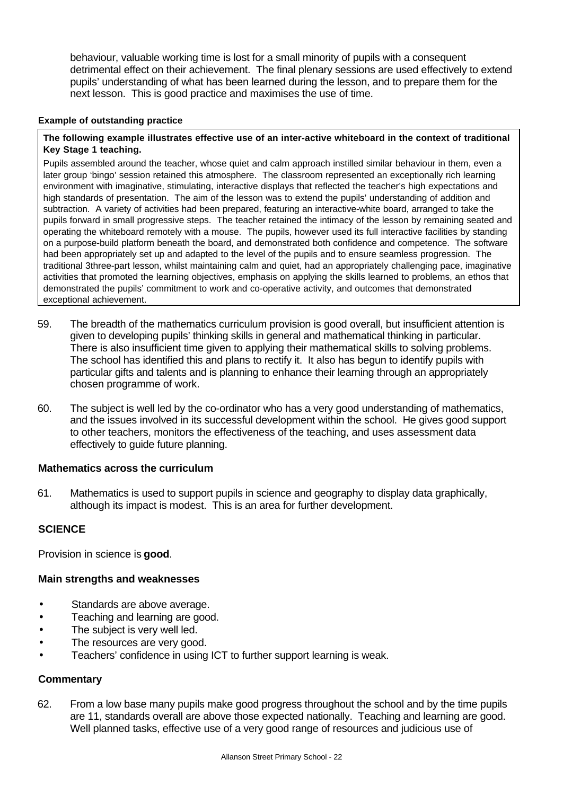behaviour, valuable working time is lost for a small minority of pupils with a consequent detrimental effect on their achievement. The final plenary sessions are used effectively to extend pupils' understanding of what has been learned during the lesson, and to prepare them for the next lesson. This is good practice and maximises the use of time.

#### **Example of outstanding practice**

#### **The following example illustrates effective use of an inter-active whiteboard in the context of traditional Key Stage 1 teaching.**

Pupils assembled around the teacher, whose quiet and calm approach instilled similar behaviour in them, even a later group 'bingo' session retained this atmosphere. The classroom represented an exceptionally rich learning environment with imaginative, stimulating, interactive displays that reflected the teacher's high expectations and high standards of presentation. The aim of the lesson was to extend the pupils' understanding of addition and subtraction. A variety of activities had been prepared, featuring an interactive-white board, arranged to take the pupils forward in small progressive steps. The teacher retained the intimacy of the lesson by remaining seated and operating the whiteboard remotely with a mouse. The pupils, however used its full interactive facilities by standing on a purpose-build platform beneath the board, and demonstrated both confidence and competence. The software had been appropriately set up and adapted to the level of the pupils and to ensure seamless progression. The traditional 3three-part lesson, whilst maintaining calm and quiet, had an appropriately challenging pace, imaginative activities that promoted the learning objectives, emphasis on applying the skills learned to problems, an ethos that demonstrated the pupils' commitment to work and co-operative activity, and outcomes that demonstrated exceptional achievement.

- 59. The breadth of the mathematics curriculum provision is good overall, but insufficient attention is given to developing pupils' thinking skills in general and mathematical thinking in particular. There is also insufficient time given to applying their mathematical skills to solving problems. The school has identified this and plans to rectify it. It also has begun to identify pupils with particular gifts and talents and is planning to enhance their learning through an appropriately chosen programme of work.
- 60. The subject is well led by the co-ordinator who has a very good understanding of mathematics, and the issues involved in its successful development within the school. He gives good support to other teachers, monitors the effectiveness of the teaching, and uses assessment data effectively to guide future planning.

#### **Mathematics across the curriculum**

61. Mathematics is used to support pupils in science and geography to display data graphically, although its impact is modest. This is an area for further development.

## **SCIENCE**

Provision in science is **good**.

## **Main strengths and weaknesses**

- Standards are above average.
- Teaching and learning are good.
- The subject is very well led.
- The resources are very good.
- Teachers' confidence in using ICT to further support learning is weak.

## **Commentary**

62. From a low base many pupils make good progress throughout the school and by the time pupils are 11, standards overall are above those expected nationally. Teaching and learning are good. Well planned tasks, effective use of a very good range of resources and judicious use of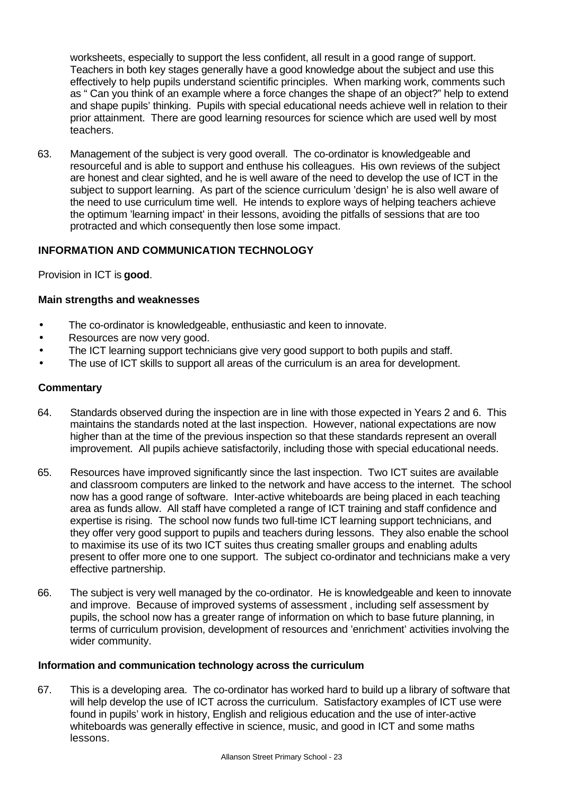worksheets, especially to support the less confident, all result in a good range of support. Teachers in both key stages generally have a good knowledge about the subject and use this effectively to help pupils understand scientific principles. When marking work, comments such as " Can you think of an example where a force changes the shape of an object?" help to extend and shape pupils' thinking. Pupils with special educational needs achieve well in relation to their prior attainment. There are good learning resources for science which are used well by most teachers.

63. Management of the subject is very good overall. The co-ordinator is knowledgeable and resourceful and is able to support and enthuse his colleagues. His own reviews of the subject are honest and clear sighted, and he is well aware of the need to develop the use of ICT in the subject to support learning. As part of the science curriculum 'design' he is also well aware of the need to use curriculum time well. He intends to explore ways of helping teachers achieve the optimum 'learning impact' in their lessons, avoiding the pitfalls of sessions that are too protracted and which consequently then lose some impact.

## **INFORMATION AND COMMUNICATION TECHNOLOGY**

Provision in ICT is **good**.

#### **Main strengths and weaknesses**

- The co-ordinator is knowledgeable, enthusiastic and keen to innovate.
- Resources are now very good.
- The ICT learning support technicians give very good support to both pupils and staff.
- The use of ICT skills to support all areas of the curriculum is an area for development.

#### **Commentary**

- 64. Standards observed during the inspection are in line with those expected in Years 2 and 6. This maintains the standards noted at the last inspection. However, national expectations are now higher than at the time of the previous inspection so that these standards represent an overall improvement. All pupils achieve satisfactorily, including those with special educational needs.
- 65. Resources have improved significantly since the last inspection. Two ICT suites are available and classroom computers are linked to the network and have access to the internet. The school now has a good range of software. Inter-active whiteboards are being placed in each teaching area as funds allow. All staff have completed a range of ICT training and staff confidence and expertise is rising. The school now funds two full-time ICT learning support technicians, and they offer very good support to pupils and teachers during lessons. They also enable the school to maximise its use of its two ICT suites thus creating smaller groups and enabling adults present to offer more one to one support. The subject co-ordinator and technicians make a very effective partnership.
- 66. The subject is very well managed by the co-ordinator. He is knowledgeable and keen to innovate and improve. Because of improved systems of assessment , including self assessment by pupils, the school now has a greater range of information on which to base future planning, in terms of curriculum provision, development of resources and 'enrichment' activities involving the wider community.

#### **Information and communication technology across the curriculum**

67. This is a developing area. The co-ordinator has worked hard to build up a library of software that will help develop the use of ICT across the curriculum. Satisfactory examples of ICT use were found in pupils' work in history, English and religious education and the use of inter-active whiteboards was generally effective in science, music, and good in ICT and some maths lessons.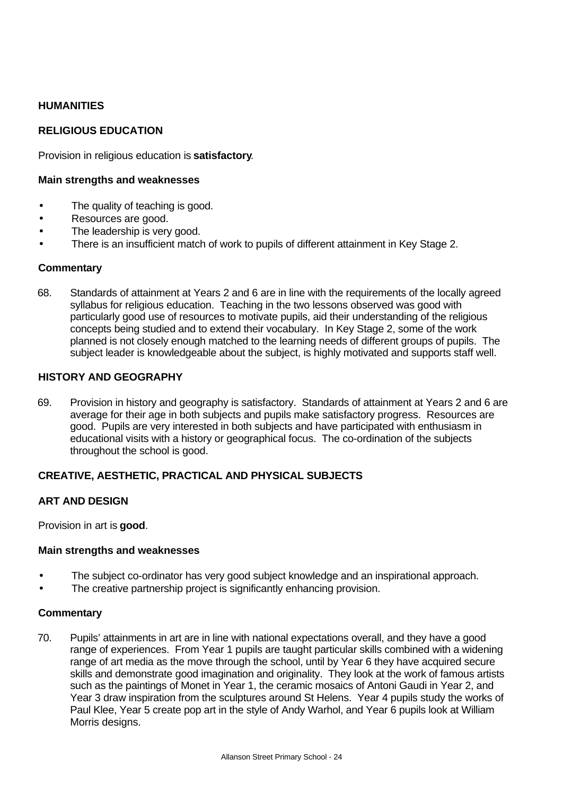## **HUMANITIES**

## **RELIGIOUS EDUCATION**

Provision in religious education is **satisfactory**.

#### **Main strengths and weaknesses**

- The quality of teaching is good.
- Resources are good.
- The leadership is very good.
- There is an insufficient match of work to pupils of different attainment in Key Stage 2.

#### **Commentary**

68. Standards of attainment at Years 2 and 6 are in line with the requirements of the locally agreed syllabus for religious education. Teaching in the two lessons observed was good with particularly good use of resources to motivate pupils, aid their understanding of the religious concepts being studied and to extend their vocabulary. In Key Stage 2, some of the work planned is not closely enough matched to the learning needs of different groups of pupils. The subject leader is knowledgeable about the subject, is highly motivated and supports staff well.

### **HISTORY AND GEOGRAPHY**

69. Provision in history and geography is satisfactory. Standards of attainment at Years 2 and 6 are average for their age in both subjects and pupils make satisfactory progress. Resources are good. Pupils are very interested in both subjects and have participated with enthusiasm in educational visits with a history or geographical focus. The co-ordination of the subjects throughout the school is good.

## **CREATIVE, AESTHETIC, PRACTICAL AND PHYSICAL SUBJECTS**

## **ART AND DESIGN**

Provision in art is **good**.

#### **Main strengths and weaknesses**

- The subject co-ordinator has very good subject knowledge and an inspirational approach.
- The creative partnership project is significantly enhancing provision.

#### **Commentary**

70. Pupils' attainments in art are in line with national expectations overall, and they have a good range of experiences. From Year 1 pupils are taught particular skills combined with a widening range of art media as the move through the school, until by Year 6 they have acquired secure skills and demonstrate good imagination and originality. They look at the work of famous artists such as the paintings of Monet in Year 1, the ceramic mosaics of Antoni Gaudi in Year 2, and Year 3 draw inspiration from the sculptures around St Helens. Year 4 pupils study the works of Paul Klee, Year 5 create pop art in the style of Andy Warhol, and Year 6 pupils look at William Morris designs.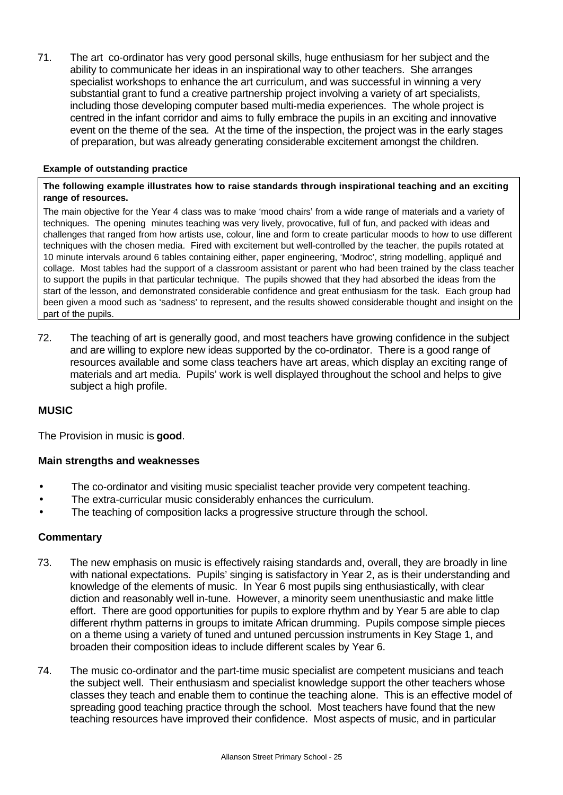71. The art co-ordinator has very good personal skills, huge enthusiasm for her subject and the ability to communicate her ideas in an inspirational way to other teachers. She arranges specialist workshops to enhance the art curriculum, and was successful in winning a very substantial grant to fund a creative partnership project involving a variety of art specialists, including those developing computer based multi-media experiences. The whole project is centred in the infant corridor and aims to fully embrace the pupils in an exciting and innovative event on the theme of the sea. At the time of the inspection, the project was in the early stages of preparation, but was already generating considerable excitement amongst the children.

#### **Example of outstanding practice**

#### **The following example illustrates how to raise standards through inspirational teaching and an exciting range of resources.**

The main objective for the Year 4 class was to make 'mood chairs' from a wide range of materials and a variety of techniques. The opening minutes teaching was very lively, provocative, full of fun, and packed with ideas and challenges that ranged from how artists use, colour, line and form to create particular moods to how to use different techniques with the chosen media. Fired with excitement but well-controlled by the teacher, the pupils rotated at 10 minute intervals around 6 tables containing either, paper engineering, 'Modroc', string modelling, appliqué and collage. Most tables had the support of a classroom assistant or parent who had been trained by the class teacher to support the pupils in that particular technique. The pupils showed that they had absorbed the ideas from the start of the lesson, and demonstrated considerable confidence and great enthusiasm for the task. Each group had been given a mood such as 'sadness' to represent, and the results showed considerable thought and insight on the part of the pupils.

72. The teaching of art is generally good, and most teachers have growing confidence in the subject and are willing to explore new ideas supported by the co-ordinator. There is a good range of resources available and some class teachers have art areas, which display an exciting range of materials and art media. Pupils' work is well displayed throughout the school and helps to give subject a high profile.

## **MUSIC**

The Provision in music is **good**.

## **Main strengths and weaknesses**

- The co-ordinator and visiting music specialist teacher provide very competent teaching.
- The extra-curricular music considerably enhances the curriculum.
- The teaching of composition lacks a progressive structure through the school.

## **Commentary**

- 73. The new emphasis on music is effectively raising standards and, overall, they are broadly in line with national expectations. Pupils' singing is satisfactory in Year 2, as is their understanding and knowledge of the elements of music. In Year 6 most pupils sing enthusiastically, with clear diction and reasonably well in-tune. However, a minority seem unenthusiastic and make little effort. There are good opportunities for pupils to explore rhythm and by Year 5 are able to clap different rhythm patterns in groups to imitate African drumming. Pupils compose simple pieces on a theme using a variety of tuned and untuned percussion instruments in Key Stage 1, and broaden their composition ideas to include different scales by Year 6.
- 74. The music co-ordinator and the part-time music specialist are competent musicians and teach the subject well. Their enthusiasm and specialist knowledge support the other teachers whose classes they teach and enable them to continue the teaching alone. This is an effective model of spreading good teaching practice through the school. Most teachers have found that the new teaching resources have improved their confidence. Most aspects of music, and in particular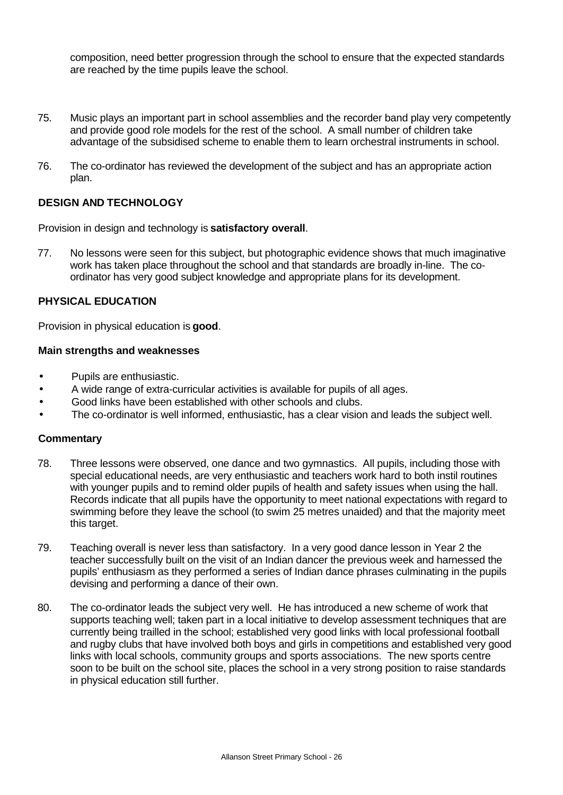composition, need better progression through the school to ensure that the expected standards are reached by the time pupils leave the school.

- 75. Music plays an important part in school assemblies and the recorder band play very competently and provide good role models for the rest of the school. A small number of children take advantage of the subsidised scheme to enable them to learn orchestral instruments in school.
- 76. The co-ordinator has reviewed the development of the subject and has an appropriate action plan.

## **DESIGN AND TECHNOLOGY**

Provision in design and technology is **satisfactory overall**.

77. No lessons were seen for this subject, but photographic evidence shows that much imaginative work has taken place throughout the school and that standards are broadly in-line. The coordinator has very good subject knowledge and appropriate plans for its development.

## **PHYSICAL EDUCATION**

Provision in physical education is **good**.

#### **Main strengths and weaknesses**

- Pupils are enthusiastic.
- A wide range of extra-curricular activities is available for pupils of all ages.
- Good links have been established with other schools and clubs.
- The co-ordinator is well informed, enthusiastic, has a clear vision and leads the subject well.

#### **Commentary**

- 78. Three lessons were observed, one dance and two gymnastics. All pupils, including those with special educational needs, are very enthusiastic and teachers work hard to both instil routines with younger pupils and to remind older pupils of health and safety issues when using the hall. Records indicate that all pupils have the opportunity to meet national expectations with regard to swimming before they leave the school (to swim 25 metres unaided) and that the majority meet this target.
- 79. Teaching overall is never less than satisfactory. In a very good dance lesson in Year 2 the teacher successfully built on the visit of an Indian dancer the previous week and harnessed the pupils' enthusiasm as they performed a series of Indian dance phrases culminating in the pupils devising and performing a dance of their own.
- 80. The co-ordinator leads the subject very well. He has introduced a new scheme of work that supports teaching well; taken part in a local initiative to develop assessment techniques that are currently being trailled in the school; established very good links with local professional football and rugby clubs that have involved both boys and girls in competitions and established very good links with local schools, community groups and sports associations. The new sports centre soon to be built on the school site, places the school in a very strong position to raise standards in physical education still further.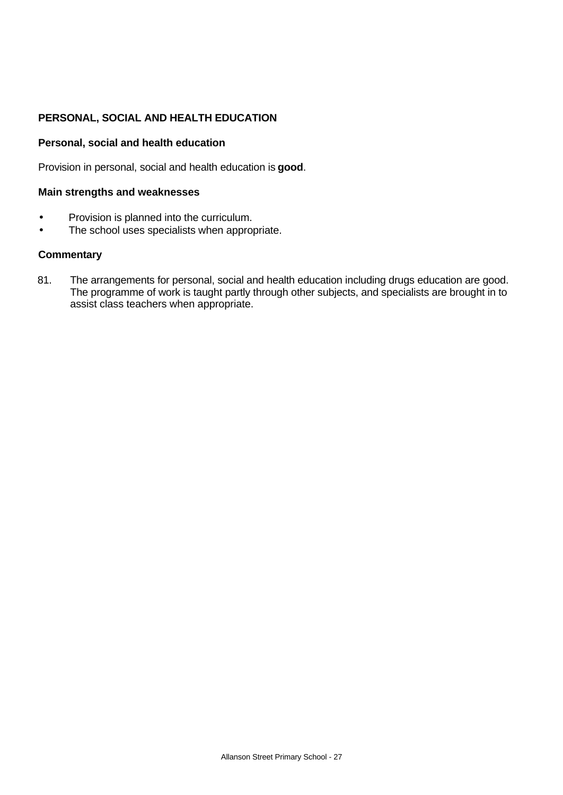# **PERSONAL, SOCIAL AND HEALTH EDUCATION**

## **Personal, social and health education**

Provision in personal, social and health education is **good**.

### **Main strengths and weaknesses**

- Provision is planned into the curriculum.
- The school uses specialists when appropriate.

### **Commentary**

81. The arrangements for personal, social and health education including drugs education are good. The programme of work is taught partly through other subjects, and specialists are brought in to assist class teachers when appropriate.